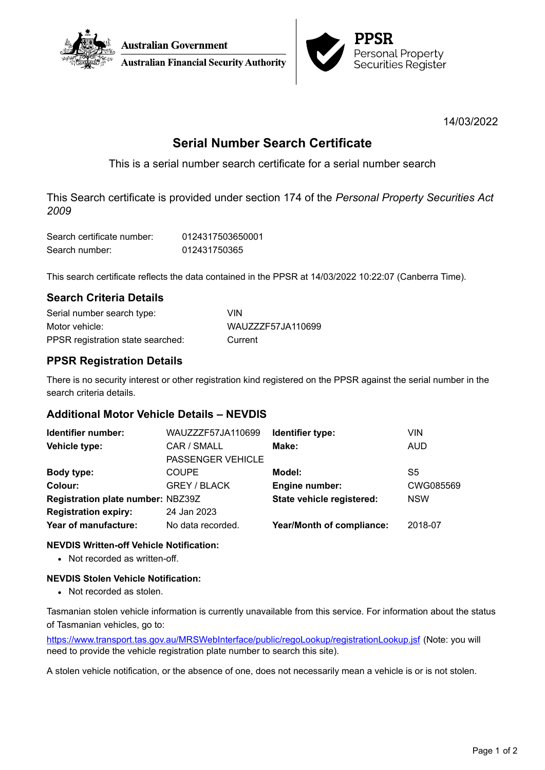



14/03/2022

# **Serial Number Search Certificate**

This is a serial number search certificate for a serial number search

This Search certificate is provided under section 174 of the *Personal Property Securities Act 2009*

| Search certificate number: | 0124317503650001 |
|----------------------------|------------------|
| Search number:             | 012431750365     |

This search certificate reflects the data contained in the PPSR at 14/03/2022 10:22:07 (Canberra Time).

# **Search Criteria Details**

| Serial number search type:        | VIN               |
|-----------------------------------|-------------------|
| Motor vehicle:                    | WAUZZZF57JA110699 |
| PPSR registration state searched: | Current           |

# **PPSR Registration Details**

There is no security interest or other registration kind registered on the PPSR against the serial number in the search criteria details.

# **Additional Motor Vehicle Details – NEVDIS**

| Identifier number:                | WAUZZZF57JA110699        | Identifier type:          | VIN        |
|-----------------------------------|--------------------------|---------------------------|------------|
| Vehicle type:                     | CAR / SMALL              | Make:                     | <b>AUD</b> |
|                                   | <b>PASSENGER VEHICLE</b> |                           |            |
| Body type:                        | <b>COUPE</b>             | Model:                    | S5         |
| Colour:                           | <b>GREY / BLACK</b>      | <b>Engine number:</b>     | CWG085569  |
| Registration plate number: NBZ39Z |                          | State vehicle registered: | <b>NSW</b> |
| <b>Registration expiry:</b>       | 24 Jan 2023              |                           |            |
| Year of manufacture:              | No data recorded.        | Year/Month of compliance: | 2018-07    |

### **NEVDIS Written-off Vehicle Notification:**

• Not recorded as written-off.

### **NEVDIS Stolen Vehicle Notification:**

• Not recorded as stolen.

Tasmanian stolen vehicle information is currently unavailable from this service. For information about the status of Tasmanian vehicles, go to:

<https://www.transport.tas.gov.au/MRSWebInterface/public/regoLookup/registrationLookup.jsf> (Note: you will need to provide the vehicle registration plate number to search this site).

A stolen vehicle notification, or the absence of one, does not necessarily mean a vehicle is or is not stolen.